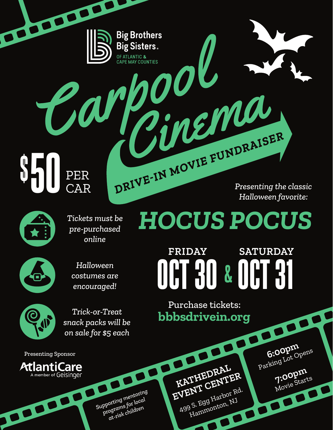**SH** 50 PER PER DRIVE-IN MOVIE FUNDRAISER

BOOK OF

*Presenting the classic Halloween favorite:*

**6:00pm**<br>Parking Lot Opens

**7:00pm** 

7:00pm



*HOCUS POCUS Tickets must be pre-purchased online*

**Big Brothers** 

**Big Sisters.** 

OF ATLANTIC & **CAPE MAY COUNTIES** 



*Halloween costumes are encouraged!*



*Trick-or-Treat snack packs will be on sale for \$5 each*

Purchase tickets: **bbbsdrivein.org**

**FRIDAY SATURDAY**

OCT 30 & OCT 31

Presenting Sponsor



**Supporting mentoring** *programs for local at-risk children*

**KATHEDRAL EVENT CENTER** 499 S. Egg Harbor Rd. Hammonton, NJ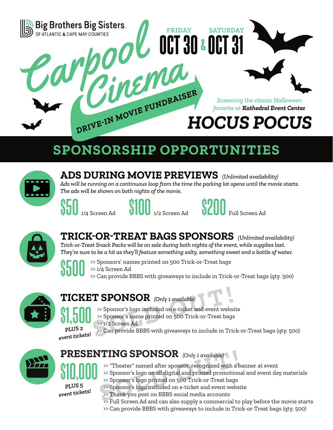

## **SPONSORSHIP OPPORTUNITIES**



**ADS DURING MOVIE PREVIEWS** *(Unlimited availability) Ads will be running on a continuous loop from the time the parking lot opens until the movie starts. The ads will be shown on both nights of the movie.*







### **TRICK-OR-TREAT BAGS SPONSORS** *(Unlimited availability)*

*Trick-or-Treat Snack Packs will be on sale during both nights of the event, while supplies last. They're sure to be a hit as they'll feature something salty, something sweet and a bottle of water.*



>> Sponsors' names printed on 500 Trick-or-Treat bags >> 1/4 Screen Ad >> Can provide BBBS with giveaways to include in Trick-or-Treat bags (qty. 500)



#### **TICKET SPONSOR** *(Only 1 available)*

- >> Sponsor's logo included on e-ticket and event website
- >> Sponsor's name printed on 500 Trick-or-Treat bags

*PLUS 2* 

**\$1,500**

>> 1/2 Screen Ad

*event tickets!*

**T SPONSOR** (Only 1 available)<br>
>> Sponsor's logo included on e-ticket and event webs<br>
>> Sponsor's name printed on 500 Trick-or-Treat bags<br>
>> 1/2 Screen Ad<br>
>> Can provide BBBS with giveaways to include in Trick >> Can provide BBBS with giveaways to include in Trick-or-Treat bags (qty. 500)



# **PRESENTING SPONSOR** (Only 1 available)<br> **PRESENTING SPONSOR** (Only 1 available)<br>  $\rightarrow$  Sponsor's logo on all digital and printed promotion<br>  $\rightarrow$  Sponsor's logo printed on 500 Trick-or-Treat bags<br>  $\rightarrow$  Sponsor's logo includ

>> "Theater" named after sponsor, recognized with a banner at event

**\$10,000** *PLUS 5 event tickets!*

- >> Sponsor's logo printed on 500 Trick-or-Treat bags >> Sponsor's logo included on e-ticket and event website
- >> Thank you post on BBBS social media accounts
- >> Full Screen Ad and can also supply a commercial to play before the movie starts

>> Sponsor's logo on all digital and printed promotional and event day materials

>> Can provide BBBS with giveaways to include in Trick-or-Treat bags (qty. 500)